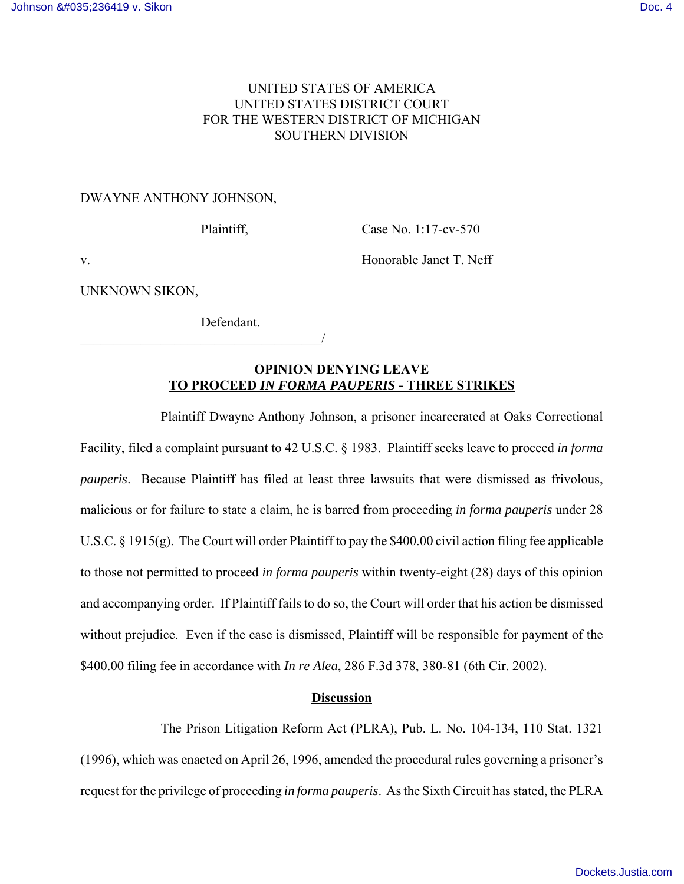## UNITED STATES OF AMERICA UNITED STATES DISTRICT COURT FOR THE WESTERN DISTRICT OF MICHIGAN SOUTHERN DIVISION

 $\overline{a}$ 

DWAYNE ANTHONY JOHNSON,

Plaintiff, Case No. 1:17-cv-570

v. Honorable Janet T. Neff

UNKNOWN SIKON,

Defendant.

 $\overline{\phantom{a}}$ 

## **OPINION DENYING LEAVE TO PROCEED** *IN FORMA PAUPERIS* **- THREE STRIKES**

Plaintiff Dwayne Anthony Johnson, a prisoner incarcerated at Oaks Correctional Facility, filed a complaint pursuant to 42 U.S.C. § 1983. Plaintiff seeks leave to proceed *in forma pauperis*. Because Plaintiff has filed at least three lawsuits that were dismissed as frivolous, malicious or for failure to state a claim, he is barred from proceeding *in forma pauperis* under 28 U.S.C. § 1915(g). The Court will order Plaintiff to pay the \$400.00 civil action filing fee applicable to those not permitted to proceed *in forma pauperis* within twenty-eight (28) days of this opinion and accompanying order. If Plaintiff fails to do so, the Court will order that his action be dismissed without prejudice. Even if the case is dismissed, Plaintiff will be responsible for payment of the \$400.00 filing fee in accordance with *In re Alea*, 286 F.3d 378, 380-81 (6th Cir. 2002).

## **Discussion**

The Prison Litigation Reform Act (PLRA), Pub. L. No. 104-134, 110 Stat. 1321 (1996), which was enacted on April 26, 1996, amended the procedural rules governing a prisoner's request for the privilege of proceeding *in forma pauperis*. As the Sixth Circuit has stated, the PLRA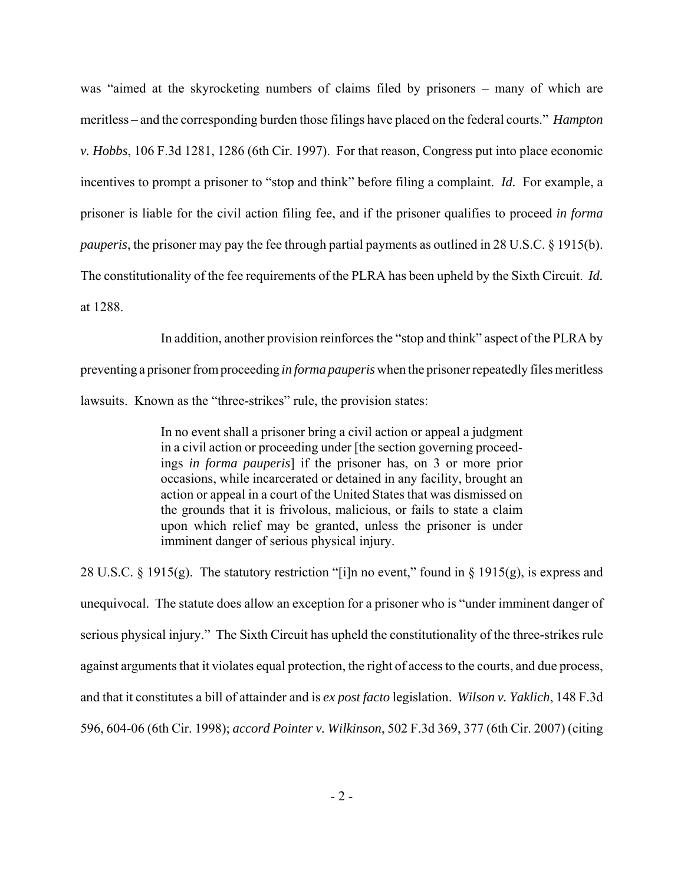was "aimed at the skyrocketing numbers of claims filed by prisoners – many of which are meritless – and the corresponding burden those filings have placed on the federal courts." *Hampton v. Hobbs*, 106 F.3d 1281, 1286 (6th Cir. 1997). For that reason, Congress put into place economic incentives to prompt a prisoner to "stop and think" before filing a complaint. *Id.* For example, a prisoner is liable for the civil action filing fee, and if the prisoner qualifies to proceed *in forma pauperis*, the prisoner may pay the fee through partial payments as outlined in 28 U.S.C. § 1915(b). The constitutionality of the fee requirements of the PLRA has been upheld by the Sixth Circuit. *Id.* at 1288.

In addition, another provision reinforces the "stop and think" aspect of the PLRA by preventing a prisoner from proceeding *in forma pauperis* when the prisoner repeatedly files meritless lawsuits. Known as the "three-strikes" rule, the provision states:

> In no event shall a prisoner bring a civil action or appeal a judgment in a civil action or proceeding under [the section governing proceedings *in forma pauperis*] if the prisoner has, on 3 or more prior occasions, while incarcerated or detained in any facility, brought an action or appeal in a court of the United States that was dismissed on the grounds that it is frivolous, malicious, or fails to state a claim upon which relief may be granted, unless the prisoner is under imminent danger of serious physical injury.

28 U.S.C. § 1915(g). The statutory restriction "[i]n no event," found in § 1915(g), is express and unequivocal. The statute does allow an exception for a prisoner who is "under imminent danger of serious physical injury." The Sixth Circuit has upheld the constitutionality of the three-strikes rule against arguments that it violates equal protection, the right of access to the courts, and due process, and that it constitutes a bill of attainder and is *ex post facto* legislation. *Wilson v. Yaklich*, 148 F.3d 596, 604-06 (6th Cir. 1998); *accord Pointer v. Wilkinson*, 502 F.3d 369, 377 (6th Cir. 2007) (citing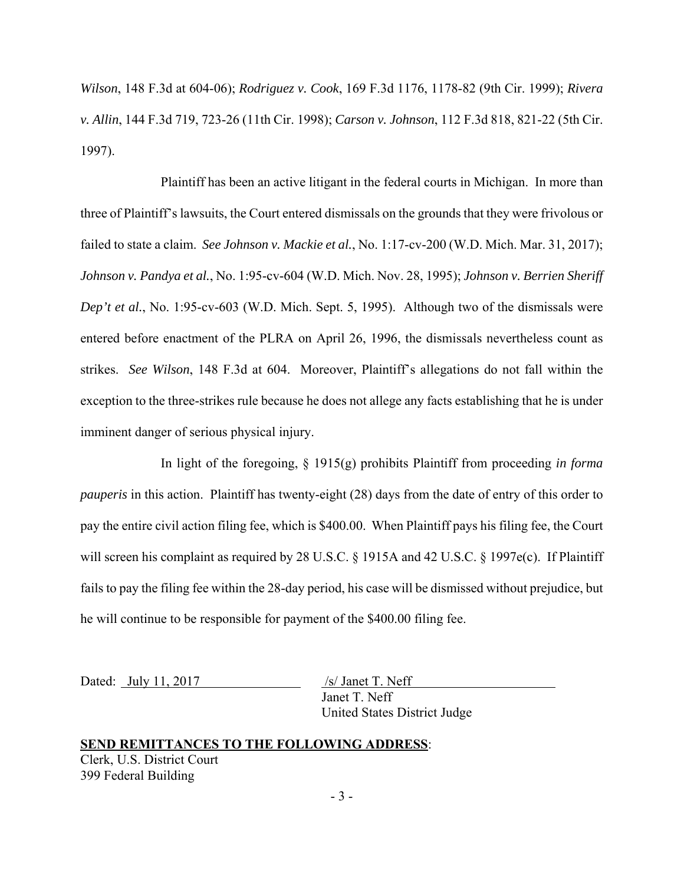*Wilson*, 148 F.3d at 604-06); *Rodriguez v. Cook*, 169 F.3d 1176, 1178-82 (9th Cir. 1999); *Rivera v. Allin*, 144 F.3d 719, 723-26 (11th Cir. 1998); *Carson v. Johnson*, 112 F.3d 818, 821-22 (5th Cir. 1997).

Plaintiff has been an active litigant in the federal courts in Michigan. In more than three of Plaintiff's lawsuits, the Court entered dismissals on the grounds that they were frivolous or failed to state a claim. *See Johnson v. Mackie et al.*, No. 1:17-cv-200 (W.D. Mich. Mar. 31, 2017); *Johnson v. Pandya et al.*, No. 1:95-cv-604 (W.D. Mich. Nov. 28, 1995); *Johnson v. Berrien Sheriff Dep't et al.*, No. 1:95-cv-603 (W.D. Mich. Sept. 5, 1995). Although two of the dismissals were entered before enactment of the PLRA on April 26, 1996, the dismissals nevertheless count as strikes. *See Wilson*, 148 F.3d at 604. Moreover, Plaintiff's allegations do not fall within the exception to the three-strikes rule because he does not allege any facts establishing that he is under imminent danger of serious physical injury.

In light of the foregoing, § 1915(g) prohibits Plaintiff from proceeding *in forma pauperis* in this action. Plaintiff has twenty-eight (28) days from the date of entry of this order to pay the entire civil action filing fee, which is \$400.00. When Plaintiff pays his filing fee, the Court will screen his complaint as required by 28 U.S.C. § 1915A and 42 U.S.C. § 1997e(c). If Plaintiff fails to pay the filing fee within the 28-day period, his case will be dismissed without prejudice, but he will continue to be responsible for payment of the \$400.00 filing fee.

Dated: July 11, 2017 /s/ Janet T. Neff

Janet T. Neff United States District Judge

## **SEND REMITTANCES TO THE FOLLOWING ADDRESS**: Clerk, U.S. District Court 399 Federal Building